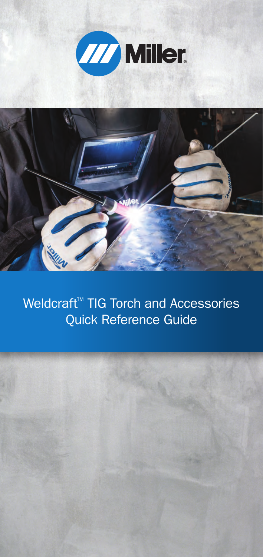



Weldcraft™ TIG Torch and Accessories Quick Reference Guide

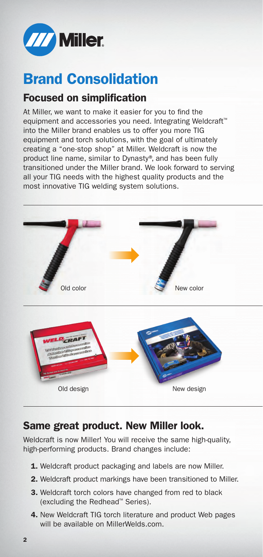

## Brand Consolidation

#### Focused on simplification

At Miller, we want to make it easier for you to find the equipment and accessories you need. Integrating Weldcraft<sup>™</sup> into the Miller brand enables us to offer you more TIG equipment and torch solutions, with the goal of ultimately creating a "one-stop shop" at Miller. Weldcraft is now the product line name, similar to Dynasty®, and has been fully transitioned under the Miller brand. We look forward to serving all your TIG needs with the highest quality products and the most innovative TIG welding system solutions.



#### Same great product. New Miller look.

Weldcraft is now Miller! You will receive the same high-quality, high-performing products. Brand changes include:

- 1. Weldcraft product packaging and labels are now Miller.
- 2. Weldcraft product markings have been transitioned to Miller.
- 3. Weldcraft torch colors have changed from red to black (excluding the Redhead™ Series).
- 4. New Weldcraft TIG torch literature and product Web pages will be available on MillerWelds.com.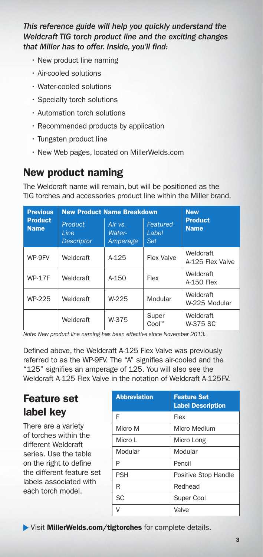*This reference guide will help you quickly understand the Weldcraft TIG torch product line and the exciting changes that Miller has to offer. Inside, you'll find:*

- New product line naming
- Air-cooled solutions
- Water-cooled solutions
- Specialty torch solutions
- Automation torch solutions
- Recommended products by application
- Tungsten product line
- New Web pages, located on MillerWelds.com

#### New product naming

The Weldcraft name will remain, but will be positioned as the TIG torches and accessories product line within the Miller brand.

| <b>Previous</b><br><b>Product</b><br><b>Name</b> | <b>New Product Name Breakdown</b>     | <b>New</b>                      |                                 |                               |
|--------------------------------------------------|---------------------------------------|---------------------------------|---------------------------------|-------------------------------|
|                                                  | Product<br>Line.<br><b>Descriptor</b> | Air $vs.$<br>Water-<br>Amperage | Featured<br>Label<br><b>Set</b> | <b>Product</b><br><b>Name</b> |
| WP-9FV                                           | Weldcraft                             | $A-125$                         | Flex Valve                      | Weldcraft<br>A-125 Flex Valve |
| <b>WP-17F</b>                                    | Weldcraft                             | A-150                           | Flex                            | Weldcraft<br>A-150 Flex       |
| WP-225                                           | Weldcraft                             | W-225                           | Modular                         | Weldcraft<br>W-225 Modular    |
|                                                  | Weldcraft                             | W-375                           | Super<br>$Cool**$               | Weldcraft<br>W-375 SC         |

*Note: New product line naming has been effective since November 2013.*

Defined above, the Weldcraft A-125 Flex Valve was previously referred to as the WP-9FV. The "A" signifies air-cooled and the "125" signifies an amperage of 125. You will also see the Weldcraft A-125 Flex Valve in the notation of Weldcraft A-125FV.

#### Feature set label key

There are a variety of torches within the different Weldcraft series. Use the table on the right to define the different feature set labels associated with each torch model.

| <b>Abbreviation</b> | <b>Feature Set</b><br><b>Label Description</b> |
|---------------------|------------------------------------------------|
| F                   | Flex                                           |
| Micro M             | Micro Medium                                   |
| Micro I             | Micro Long                                     |
| Modular             | Modular                                        |
| P                   | Pencil                                         |
| PSH                 | Positive Stop Handle                           |
| R                   | Redhead                                        |
| <b>SC</b>           | Super Cool                                     |
|                     | Valve                                          |

Visit MillerWelds.com/tigtorches for complete details.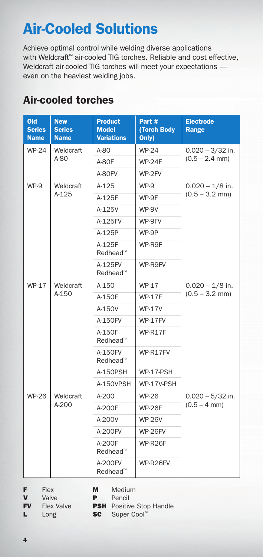# Air-Cooled Solutions

Achieve optimal control while welding diverse applications with Weldcraft™ air-cooled TIG torches. Reliable and cost effective, Weldcraft air-cooled TIG torches will meet your expectations even on the heaviest welding jobs.

| Old<br><b>Series</b><br><b>Name</b> | <b>New</b><br><b>Series</b><br><b>Name</b> | <b>Product</b><br><b>Model</b><br><b>Variations</b> | Part #<br>(Torch Body<br>Only) | <b>Electrode</b><br>Range             |  |
|-------------------------------------|--------------------------------------------|-----------------------------------------------------|--------------------------------|---------------------------------------|--|
| <b>WP-24</b>                        | Weldcraft                                  | A-80                                                | <b>WP-24</b>                   | $0.020 - 3/32$ in.                    |  |
|                                     | A-80                                       | A-80F                                               | <b>WP-24F</b>                  | $(0.5 - 2.4$ mm)                      |  |
|                                     |                                            | A-80FV                                              | WP-2FV                         |                                       |  |
| WP-9                                | Weldcraft                                  | A-125                                               | WP-9                           | $0.020 - 1/8$ in.                     |  |
|                                     | $A-125$                                    | A-125F                                              | WP-9F                          | $(0.5 - 3.2$ mm)                      |  |
|                                     |                                            | A-125V                                              | WP-9V                          |                                       |  |
|                                     |                                            | A-125FV                                             | WP-9FV                         |                                       |  |
|                                     |                                            | A-125P                                              | WP-9P                          |                                       |  |
|                                     |                                            | A-125F<br>Redhead™                                  | WP-R9F                         |                                       |  |
|                                     |                                            | A-125FV<br>Redhead™                                 | WP-R9FV                        |                                       |  |
| WP-17                               | Weldcraft<br>A-150                         | A-150                                               | <b>WP-17</b>                   | $0.020 - 1/8$ in.<br>$(0.5 - 3.2$ mm) |  |
|                                     |                                            | A-150F                                              | <b>WP-17F</b>                  |                                       |  |
|                                     |                                            | A-150V                                              | <b>WP-17V</b>                  |                                       |  |
|                                     |                                            | A-150FV                                             | <b>WP-17FV</b>                 |                                       |  |
|                                     |                                            | A-150F<br>Redhead <sup>™</sup>                      | WP-R17F                        |                                       |  |
|                                     |                                            | A-150FV<br>Redhead <sup>™</sup>                     | WP-R17FV                       |                                       |  |
|                                     |                                            | A-150PSH                                            | WP-17-PSH                      |                                       |  |
|                                     |                                            | A-150VPSH                                           | WP-17V-PSH                     |                                       |  |
| <b>WP-26</b>                        | Weldcraft<br>A-200                         | A-200                                               | <b>WP-26</b>                   | $0.020 - 5/32$ in.                    |  |
|                                     |                                            | A-200F                                              | <b>WP-26F</b>                  | $(0.5 - 4$ mm)                        |  |
|                                     |                                            | A-200V                                              | <b>WP-26V</b>                  |                                       |  |
|                                     |                                            | A-200FV                                             | <b>WP-26FV</b>                 |                                       |  |
|                                     |                                            | A-200F<br>Redhead™                                  | WP-R26F                        |                                       |  |
|                                     |                                            | A-200FV<br>Redhead™                                 | WP-R26FV                       |                                       |  |

#### Air-cooled torches

| F | Flex  |
|---|-------|
| V | Valve |

M Medium

P Pencil

- **V** Valve<br>**FV** Flex V Flex Valve
- **PSH** Positive Stop Handle

L Long

SC Super Cool™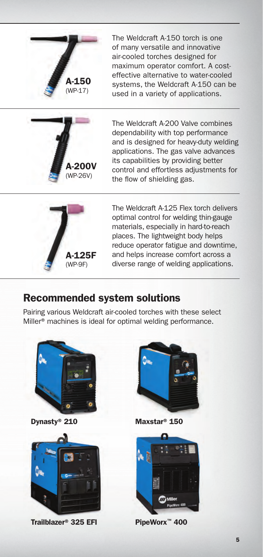

The Weldcraft A-150 torch is one of many versatile and innovative air-cooled torches designed for maximum operator comfort. A costeffective alternative to water-cooled systems, the Weldcraft A-150 can be used in a variety of applications.



The Weldcraft A-200 Valve combines dependability with top performance and is designed for heavy-duty welding applications. The gas valve advances its capabilities by providing better control and effortless adjustments for the flow of shielding gas.



The Weldcraft A-125 Flex torch delivers optimal control for welding thin-gauge materials, especially in hard-to-reach places. The lightweight body helps reduce operator fatigue and downtime, and helps increase comfort across a diverse range of welding applications.

#### Recommended system solutions

Pairing various Weldcraft air-cooled torches with these select Miller® machines is ideal for optimal welding performance.







Maxstar® 150



PipeWorx™ 400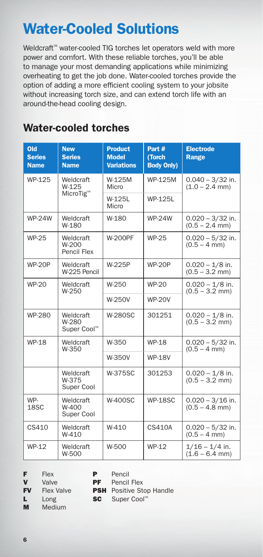## Water-Cooled Solutions

Weldcraft™ water-cooled TIG torches let operators weld with more power and comfort. With these reliable torches, you'll be able to manage your most demanding applications while minimizing overheating to get the job done. Water-cooled torches provide the option of adding a more efficient cooling system to your jobsite without increasing torch size, and can extend torch life with an around-the-head cooling design.

#### Water-cooled torches

| Old<br><b>Series</b><br><b>Name</b> | <b>New</b><br><b>Series</b><br><b>Name</b> | <b>Product</b><br><b>Model</b><br><b>Variations</b> | Part #<br>(Torch<br><b>Body Only)</b> | <b>Electrode</b><br>Range              |  |
|-------------------------------------|--------------------------------------------|-----------------------------------------------------|---------------------------------------|----------------------------------------|--|
| WP-125                              | Weldcraft<br>W-125                         | W-125M<br>Micro                                     | <b>WP-125M</b>                        | $0.040 - 3/32$ in.<br>$(1.0 - 2.4$ mm) |  |
|                                     | MicroTig <sup>™</sup>                      | W-125L<br>Micro                                     | <b>WP-125L</b>                        |                                        |  |
| <b>WP-24W</b>                       | Weldcraft<br>W-180                         | W-180                                               | <b>WP-24W</b>                         | $0.020 - 3/32$ in.<br>$(0.5 - 2.4$ mm) |  |
| <b>WP-25</b>                        | Weldcraft<br>W-200<br>Pencil Flex          | <b>W-200PF</b>                                      | <b>WP-25</b>                          | $0.020 - 5/32$ in.<br>$(0.5 - 4$ mm)   |  |
| <b>WP-20P</b>                       | Weldcraft<br>W-225 Pencil                  | W-225P                                              | <b>WP-20P</b>                         | $0.020 - 1/8$ in.<br>$(0.5 - 3.2$ mm)  |  |
| WP-20                               | Weldcraft<br>W-250                         | W-250                                               | <b>WP-20</b>                          | $0.020 - 1/8$ in.<br>$(0.5 - 3.2$ mm)  |  |
|                                     |                                            | <b>W-250V</b>                                       | <b>WP-20V</b>                         |                                        |  |
| WP-280                              | Weldcraft<br>W-280<br>Super Cool™          | <b>W-280SC</b>                                      | 301251                                | $0.020 - 1/8$ in.<br>$(0.5 - 3.2$ mm)  |  |
| <b>WP-18</b>                        | Weldcraft<br>W-350                         | W-350                                               | <b>WP-18</b>                          | $0.020 - 5/32$ in.<br>$(0.5 - 4$ mm)   |  |
|                                     |                                            | W-350V                                              | <b>WP-18V</b>                         |                                        |  |
|                                     | Weldcraft<br>W-375<br>Super Cool           | <b>W-375SC</b>                                      | 301253                                | $0.020 - 1/8$ in.<br>$(0.5 - 3.2$ mm)  |  |
| WP-<br>18SC                         | Weldcraft<br>W-400<br>Super Cool           | <b>W-400SC</b>                                      | <b>WP-18SC</b>                        | $0.020 - 3/16$ in.<br>$(0.5 - 4.8$ mm) |  |
| CS410                               | Weldcraft<br>W-410                         | $W-410$                                             | <b>CS410A</b>                         | $0.020 - 5/32$ in.<br>$(0.5 - 4$ mm)   |  |
| WP-12                               | Weldcraft<br>W-500                         | W-500                                               | WP-12                                 | $1/16 - 1/4$ in.<br>$(1.6 - 6.4$ mm)   |  |

F Flex

**V** Valve

P Pencil<br>PF Pencil Pencil Flex

**FV** Flex Valve

**PSH** Positive Stop Handle SC Super Cool™

L Long M Medium

6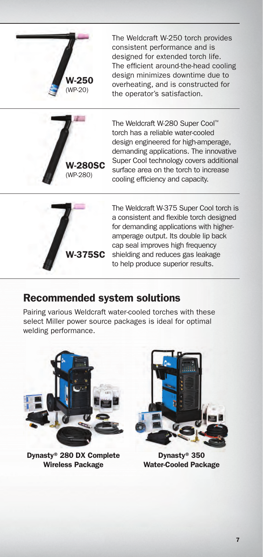

The Weldcraft W-250 torch provides consistent performance and is designed for extended torch life. The efficient around-the-head cooling design minimizes downtime due to overheating, and is constructed for the operator's satisfaction.



The Weldcraft W-280 Super Cool™ torch has a reliable water-cooled design engineered for high-amperage, demanding applications. The innovative Super Cool technology covers additional surface area on the torch to increase cooling efficiency and capacity.



The Weldcraft W-375 Super Cool torch is a consistent and flexible torch designed for demanding applications with higheramperage output. Its double lip back cap seal improves high frequency shielding and reduces gas leakage to help produce superior results.

#### Recommended system solutions

Pairing various Weldcraft water-cooled torches with these select Miller power source packages is ideal for optimal welding performance.



Dynasty® 280 DX Complete Wireless Package



Dynasty® 350 Water-Cooled Package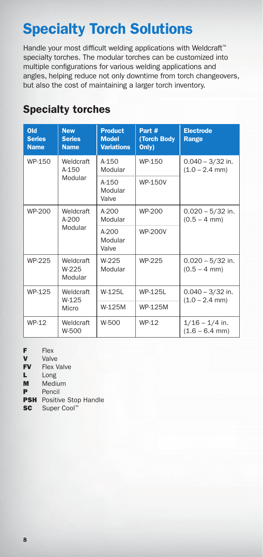## Specialty Torch Solutions

Handle your most difficult welding applications with Weldcraft<sup>™</sup> specialty torches. The modular torches can be customized into multiple configurations for various welding applications and angles, helping reduce not only downtime from torch changeovers, but also the cost of maintaining a larger torch inventory.

| Old<br><b>Series</b><br><b>Name</b> | <b>New</b><br><b>Series</b><br><b>Name</b> | <b>Product</b><br><b>Model</b><br><b>Variations</b> | Part #<br>(Torch Body<br>Only) | <b>Electrode</b><br>Range              |
|-------------------------------------|--------------------------------------------|-----------------------------------------------------|--------------------------------|----------------------------------------|
| WP-150                              | Weldcraft<br>$A - 150$<br>Modular          | $A-150$<br>Modular                                  | WP-150                         | $0.040 - 3/32$ in.<br>$(1.0 - 2.4$ mm) |
|                                     |                                            | A-150<br>Modular<br>Valve                           | <b>WP-150V</b>                 |                                        |
| WP-200                              | Weldcraft<br>$A-200$<br>Modular            | $A-200$<br>Modular                                  | WP-200                         | $0.020 - 5/32$ in.<br>$(0.5 - 4$ mm)   |
|                                     |                                            | $A-200$<br>Modular<br>Valve                         | <b>WP-200V</b>                 |                                        |
| WP-225                              | Weldcraft<br>W-225<br>Modular              | W-225<br>Modular                                    | WP-225                         | $0.020 - 5/32$ in.<br>$(0.5 - 4$ mm)   |
| WP-125                              | Weldcraft<br>W-125<br>Micro                | W-125L                                              | <b>WP-125L</b>                 | $0.040 - 3/32$ in.                     |
|                                     |                                            | W-125M                                              | <b>WP-125M</b>                 | $(1.0 - 2.4$ mm)                       |
| WP-12                               | Weldcraft<br>W-500                         | W-500                                               | WP-12                          | $1/16 - 1/4$ in.<br>$(1.6 - 6.4$ mm)   |

#### Specialty torches

- F Flex
- **V** Valve<br>FV Flex V
- Flex Valve
- L Long
- M Medium
- P Pencil
- **PSH** Positive Stop Handle
- SC Super Cool™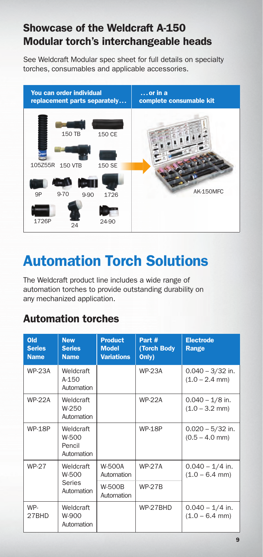### Showcase of the Weldcraft A-150 Modular torch's interchangeable heads

See Weldcraft Modular spec sheet for full details on specialty torches, consumables and applicable accessories.



# Automation Torch Solutions

The Weldcraft product line includes a wide range of automation torches to provide outstanding durability on any mechanized application.

#### Automation torches

| Old<br><b>Series</b><br><b>Name</b> | <b>New</b><br><b>Series</b><br><b>Name</b> | <b>Product</b><br><b>Model</b><br><b>Variations</b> | Part #<br>(Torch Body<br>Only) | <b>Electrode</b><br>Range              |
|-------------------------------------|--------------------------------------------|-----------------------------------------------------|--------------------------------|----------------------------------------|
| <b>WP-23A</b>                       | Weldcraft<br>$A-1.50$<br>Automation        |                                                     | <b>WP-23A</b>                  | $0.040 - 3/32$ in.<br>$(1.0 - 2.4$ mm) |
| <b>WP-22A</b>                       | Weldcraft<br>W-250<br>Automation           |                                                     | <b>WP-22A</b>                  | $0.040 - 1/8$ in.<br>$(1.0 - 3.2$ mm)  |
| <b>WP-18P</b>                       | Weldcraft<br>W-500<br>Pencil<br>Automation |                                                     | <b>WP-18P</b>                  | $0.020 - 5/32$ in.<br>$(0.5 - 4.0$ mm) |
| <b>WP-27</b>                        | Weldcraft<br>W-500<br>Series<br>Automation | <b>W-500A</b><br>Automation                         | <b>WP-27A</b>                  | $0.040 - 1/4$ in.<br>$(1.0 - 6.4$ mm)  |
|                                     |                                            | <b>W-500B</b><br>Automation                         | <b>WP-27B</b>                  |                                        |
| WP-<br>27BHD                        | Weldcraft<br>W-900<br>Automation           |                                                     | WP-27BHD                       | $0.040 - 1/4$ in.<br>$(1.0 - 6.4$ mm)  |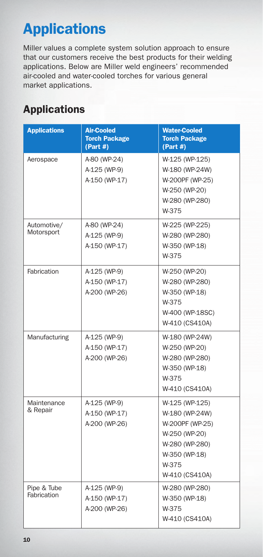# Applications

Miller values a complete system solution approach to ensure that our customers receive the best products for their welding applications. Below are Miller weld engineers' recommended air-cooled and water-cooled torches for various general market applications.

### Applications

| <b>Applications</b>        | <b>Air-Cooled</b><br><b>Torch Package</b><br>(Part H) | <b>Water-Cooled</b><br><b>Torch Package</b><br>(Part H)                                                                            |
|----------------------------|-------------------------------------------------------|------------------------------------------------------------------------------------------------------------------------------------|
| Aerospace                  | A-80 (WP-24)<br>A-125 (WP-9)<br>A-150 (WP-17)         | W-125 (WP-125)<br>W-180 (WP-24W)<br>W-200PF (WP-25)<br>W-250 (WP-20)<br>W-280 (WP-280)<br>W-375                                    |
| Automotive/<br>Motorsport  | A-80 (WP-24)<br>A-125 (WP-9)<br>A-150 (WP-17)         | W-225 (WP-225)<br>W-280 (WP-280)<br>W-350 (WP-18)<br>W-375                                                                         |
| Fabrication                | A-125 (WP-9)<br>A-150 (WP-17)<br>A-200 (WP-26)        | W-250 (WP-20)<br>W-280 (WP-280)<br>W-350 (WP-18)<br>W-375<br>W-400 (WP-18SC)<br>W-410 (CS410A)                                     |
| Manufacturing              | A-125 (WP-9)<br>A-150 (WP-17)<br>A-200 (WP-26)        | W-180 (WP-24W)<br>W-250 (WP-20)<br>W-280 (WP-280)<br>W-350 (WP-18)<br>W-375<br>W-410 (CS410A)                                      |
| Maintenance<br>& Repair    | A-125 (WP-9)<br>A-150 (WP-17)<br>A-200 (WP-26)        | W-125 (WP-125)<br>W-180 (WP-24W)<br>W-200PF (WP-25)<br>W-250 (WP-20)<br>W-280 (WP-280)<br>W-350 (WP-18)<br>W-375<br>W-410 (CS410A) |
| Pipe & Tube<br>Fabrication | A-125 (WP-9)<br>A-150 (WP-17)<br>A-200 (WP-26)        | W-280 (WP-280)<br>W-350 (WP-18)<br>W-375<br>W-410 (CS410A)                                                                         |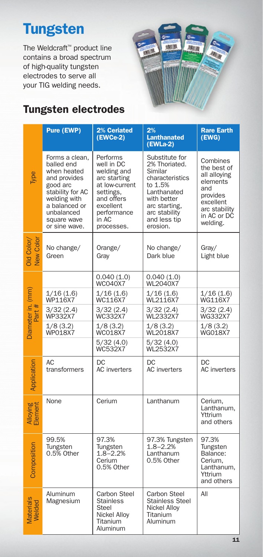# **Tungsten**

The Weldcraft™ product line contains a broad spectrum of high-quality tungsten electrodes to serve all your TIG welding needs.



### Tungsten electrodes

|                             | <b>Pure (EWP)</b>                                                                                                                                                          | 2% Ceriated<br>$(EWCe-2)$                                                                                                                             | 2%<br><b>Lanthanated</b><br>(EWLa-2)                                                                                                                                 | <b>Rare Earth</b><br>(EWG)                                                                                                      |
|-----------------------------|----------------------------------------------------------------------------------------------------------------------------------------------------------------------------|-------------------------------------------------------------------------------------------------------------------------------------------------------|----------------------------------------------------------------------------------------------------------------------------------------------------------------------|---------------------------------------------------------------------------------------------------------------------------------|
| Type                        | Forms a clean,<br>balled end<br>when heated<br>and provides<br>good arc<br>stability for AC<br>welding with<br>a balanced or<br>unbalanced<br>square wave<br>or sine wave. | Performs<br>well in DC<br>welding and<br>arc starting<br>at low-current<br>settings,<br>and offers<br>excellent<br>performance<br>in AC<br>processes. | Substitute for<br>2% Thoriated.<br>Similar<br>characteristics<br>to 1.5%<br>Lanthanated<br>with better<br>arc starting,<br>arc stability<br>and less tip<br>erosion. | Combines<br>the best of<br>all alloying<br>elements<br>and<br>provides<br>excellent<br>arc stability<br>in AC or DC<br>welding. |
| Old Color/<br>New Color     | No change/<br>Green                                                                                                                                                        | Orange/<br>Gray                                                                                                                                       | No change/<br>Dark blue                                                                                                                                              | Gray/<br>Light blue                                                                                                             |
|                             |                                                                                                                                                                            | 0.040(1.0)<br><b>WC040X7</b>                                                                                                                          | 0.040(1.0)<br><b>WL2040X7</b>                                                                                                                                        |                                                                                                                                 |
| Diameter in. (mm)<br>Part # | 1/16(1.6)<br>WP116X7                                                                                                                                                       | 1/16(1.6)<br>WC116X7                                                                                                                                  | 1/16(1.6)<br>WL2116X7                                                                                                                                                | 1/16(1.6)<br>WG116X7                                                                                                            |
|                             | 3/32 (2.4)<br>WP332X7                                                                                                                                                      | 3/32 (2.4)<br><b>WC332X7</b>                                                                                                                          | 3/32 (2.4)<br>WL2332X7                                                                                                                                               | 3/32 (2.4)<br><b>WG332X7</b>                                                                                                    |
|                             | 1/8(3.2)<br><b>WP018X7</b>                                                                                                                                                 | 1/8(3.2)<br><b>WCO18X7</b>                                                                                                                            | 1/8(3.2)<br><b>WL2018X7</b>                                                                                                                                          | 1/8(3.2)<br><b>WGO18X7</b>                                                                                                      |
|                             |                                                                                                                                                                            | 5/32(4.0)<br>WC532X7                                                                                                                                  | 5/32(4.0)<br>WL2532X7                                                                                                                                                |                                                                                                                                 |
| Application                 | AC<br>transformers                                                                                                                                                         | DC<br>AC inverters                                                                                                                                    | DC<br><b>AC</b> inverters                                                                                                                                            | DC<br><b>AC</b> inverters                                                                                                       |
| Alloying<br>Element         | None                                                                                                                                                                       | Cerium                                                                                                                                                | Lanthanum                                                                                                                                                            | Cerium,<br>Lanthanum,<br>Yttrium<br>and others                                                                                  |
| Composition                 | 99.5%<br>Tungsten<br>0.5% Other                                                                                                                                            | 97.3%<br>Tungsten<br>$1.8 - 2.2%$<br>Cerium<br>0.5% Other                                                                                             | 97.3% Tungsten<br>$1.8 - 2.2%$<br>Lanthanum<br>0.5% Other                                                                                                            | 97.3%<br>Tungsten<br>Balance:<br>Cerium.<br>Lanthanum,<br>Yttrium<br>and others                                                 |
| <b>Materials</b><br>Welded  | Aluminum<br>Magnesium                                                                                                                                                      | Carbon Steel<br><b>Stainless</b><br><b>Steel</b><br>Nickel Alloy<br>Titanium<br>Aluminum                                                              | Carbon Steel<br>Stainless Steel<br>Nickel Alloy<br>Titanium<br>Aluminum                                                                                              | All                                                                                                                             |